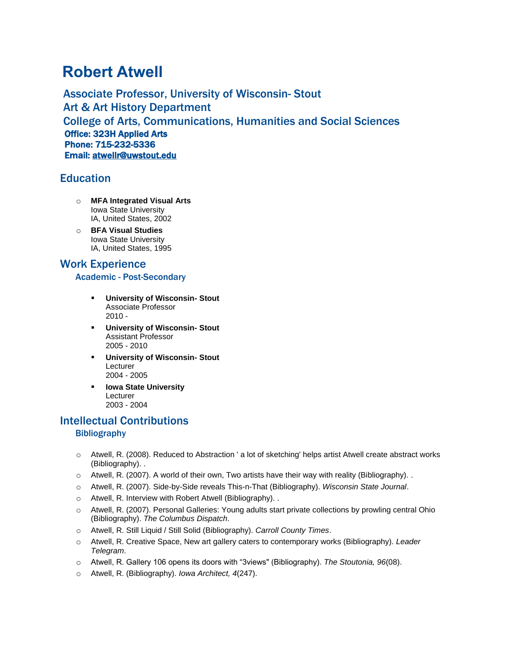# **Robert Atwell**

Associate Professor, University of Wisconsin- Stout Art & Art History Department College of Arts, Communications, Humanities and Social Sciences Office: 323H Applied Arts Phone: 715-232-5336 Email: [atwellr@uwstout.edu](mailto:atwellr@uwstout.edu)

# **Education**

- o **MFA Integrated Visual Arts** Iowa State University IA, United States, 2002
- o **BFA Visual Studies** Iowa State University IA, United States, 1995

# Work Experience

### Academic - Post-Secondary

- **University of Wisconsin- Stout** Associate Professor 2010 -
- **University of Wisconsin- Stout** Assistant Professor 2005 - 2010
- **University of Wisconsin- Stout** Lecturer 2004 - 2005
- **Iowa State University** Lecturer 2003 - 2004

# Intellectual Contributions **Bibliography**

- o Atwell, R. (2008). Reduced to Abstraction ' a lot of sketching' helps artist Atwell create abstract works (Bibliography). .
- o Atwell, R. (2007). A world of their own, Two artists have their way with reality (Bibliography). .
- o Atwell, R. (2007). Side-by-Side reveals This-n-That (Bibliography). *Wisconsin State Journal*.
- o Atwell, R. Interview with Robert Atwell (Bibliography). .
- o Atwell, R. (2007). Personal Galleries: Young adults start private collections by prowling central Ohio (Bibliography). *The Columbus Dispatch*.
- o Atwell, R. Still Liquid / Still Solid (Bibliography). *Carroll County Times*.
- o Atwell, R. Creative Space, New art gallery caters to contemporary works (Bibliography). *Leader Telegram*.
- o Atwell, R. Gallery 106 opens its doors with "3views" (Bibliography). *The Stoutonia, 96*(08).
- o Atwell, R. (Bibliography). *Iowa Architect, 4*(247).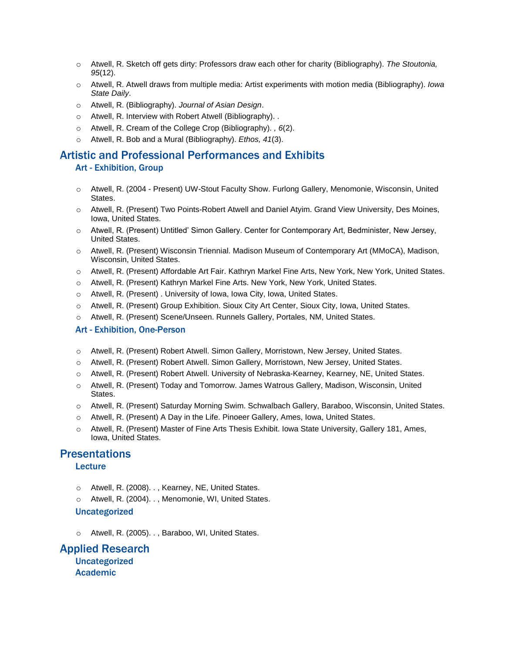- o Atwell, R. Sketch off gets dirty: Professors draw each other for charity (Bibliography). *The Stoutonia, 95*(12).
- o Atwell, R. Atwell draws from multiple media: Artist experiments with motion media (Bibliography). *Iowa State Daily*.
- o Atwell, R. (Bibliography). *Journal of Asian Design*.
- o Atwell, R. Interview with Robert Atwell (Bibliography). .
- o Atwell, R. Cream of the College Crop (Bibliography). *, 6*(2).
- o Atwell, R. Bob and a Mural (Bibliography). *Ethos, 41*(3).

# Artistic and Professional Performances and Exhibits

### Art - Exhibition, Group

- o Atwell, R. (2004 Present) UW-Stout Faculty Show. Furlong Gallery, Menomonie, Wisconsin, United States.
- o Atwell, R. (Present) Two Points-Robert Atwell and Daniel Atyim. Grand View University, Des Moines, Iowa, United States.
- o Atwell, R. (Present) Untitled' Simon Gallery. Center for Contemporary Art, Bedminister, New Jersey, United States.
- o Atwell, R. (Present) Wisconsin Triennial. Madison Museum of Contemporary Art (MMoCA), Madison, Wisconsin, United States.
- o Atwell, R. (Present) Affordable Art Fair. Kathryn Markel Fine Arts, New York, New York, United States.
- o Atwell, R. (Present) Kathryn Markel Fine Arts. New York, New York, United States.
- o Atwell, R. (Present) . University of Iowa, Iowa City, Iowa, United States.
- o Atwell, R. (Present) Group Exhibition. Sioux City Art Center, Sioux City, Iowa, United States.
- o Atwell, R. (Present) Scene/Unseen. Runnels Gallery, Portales, NM, United States.

#### Art - Exhibition, One-Person

- o Atwell, R. (Present) Robert Atwell. Simon Gallery, Morristown, New Jersey, United States.
- o Atwell, R. (Present) Robert Atwell. Simon Gallery, Morristown, New Jersey, United States.
- o Atwell, R. (Present) Robert Atwell. University of Nebraska-Kearney, Kearney, NE, United States.
- o Atwell, R. (Present) Today and Tomorrow. James Watrous Gallery, Madison, Wisconsin, United States.
- o Atwell, R. (Present) Saturday Morning Swim. Schwalbach Gallery, Baraboo, Wisconsin, United States.
- o Atwell, R. (Present) A Day in the Life. Pinoeer Gallery, Ames, Iowa, United States.
- o Atwell, R. (Present) Master of Fine Arts Thesis Exhibit. Iowa State University, Gallery 181, Ames, Iowa, United States.

### **Presentations**

#### **Lecture**

- o Atwell, R. (2008). . , Kearney, NE, United States.
- o Atwell, R. (2004). . , Menomonie, WI, United States.

#### Uncategorized

o Atwell, R. (2005). . , Baraboo, WI, United States.

Applied Research Uncategorized Academic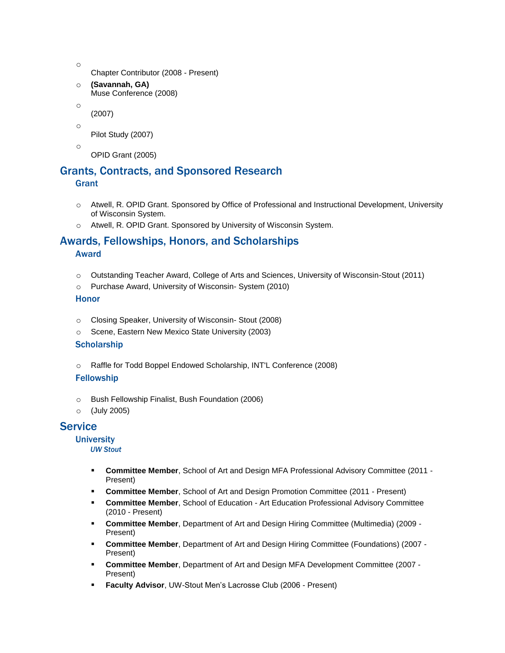- o
- Chapter Contributor (2008 Present)
- o **(Savannah, GA)** Muse Conference (2008)
- o

(2007)

o Pilot Study (2007)

o

OPID Grant (2005)

# Grants, Contracts, and Sponsored Research

## **Grant**

- o Atwell, R. OPID Grant. Sponsored by Office of Professional and Instructional Development, University of Wisconsin System.
- o Atwell, R. OPID Grant. Sponsored by University of Wisconsin System.

### Awards, Fellowships, Honors, and Scholarships Award

- o Outstanding Teacher Award, College of Arts and Sciences, University of Wisconsin-Stout (2011)
- o Purchase Award, University of Wisconsin- System (2010)

## Honor

- o Closing Speaker, University of Wisconsin- Stout (2008)
- o Scene, Eastern New Mexico State University (2003)

## **Scholarship**

o Raffle for Todd Boppel Endowed Scholarship, INT'L Conference (2008)

## Fellowship

- o Bush Fellowship Finalist, Bush Foundation (2006)
- o (July 2005)

# **Service**

## **University**

## *UW Stout*

- **Committee Member**, School of Art and Design MFA Professional Advisory Committee (2011 Present)
- **Committee Member**, School of Art and Design Promotion Committee (2011 Present)
- **EXECOMMITTEE Member, School of Education Art Education Professional Advisory Committee** (2010 - Present)
- **Committee Member**, Department of Art and Design Hiring Committee (Multimedia) (2009 Present)
- **Committee Member**, Department of Art and Design Hiring Committee (Foundations) (2007 Present)
- **Committee Member**, Department of Art and Design MFA Development Committee (2007 Present)
- **Faculty Advisor**, UW-Stout Men's Lacrosse Club (2006 Present)